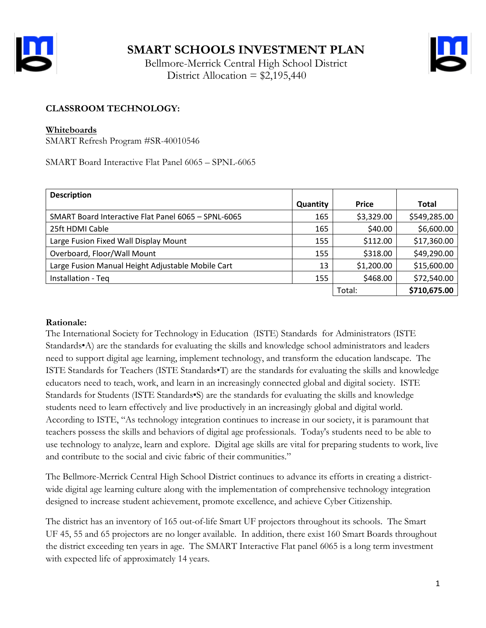

 Bellmore-Merrick Central High School District District Allocation =  $$2,195,440$ 



# **CLASSROOM TECHNOLOGY:**

#### **Whiteboards**

SMART Refresh Program #SR-40010546

SMART Board Interactive Flat Panel 6065 – SPNL-6065

| <b>Description</b>                                  |          |              |              |
|-----------------------------------------------------|----------|--------------|--------------|
|                                                     | Quantity | <b>Price</b> | Total        |
| SMART Board Interactive Flat Panel 6065 - SPNL-6065 | 165      | \$3,329.00   | \$549,285.00 |
| 25ft HDMI Cable                                     | 165      | \$40.00      | \$6,600.00   |
| Large Fusion Fixed Wall Display Mount               | 155      | \$112.00     | \$17,360.00  |
| Overboard, Floor/Wall Mount                         | 155      | \$318.00     | \$49,290.00  |
| Large Fusion Manual Height Adjustable Mobile Cart   | 13       | \$1,200.00   | \$15,600.00  |
| Installation - Teq                                  | 155      | \$468.00     | \$72,540.00  |
|                                                     |          | Total:       | \$710,675.00 |

### **Rationale:**

The International Society for Technology in Education (ISTE) Standards for Administrators (ISTE Standards•A) are the standards for evaluating the skills and knowledge school administrators and leaders need to support digital age learning, implement technology, and transform the education landscape. The ISTE Standards for Teachers (ISTE Standards•T) are the standards for evaluating the skills and knowledge educators need to teach, work, and learn in an increasingly connected global and digital society. ISTE Standards for Students (ISTE Standards•S) are the standards for evaluating the skills and knowledge students need to learn effectively and live productively in an increasingly global and digital world. According to ISTE, "As technology integration continues to increase in our society, it is paramount that teachers possess the skills and behaviors of digital age professionals. Today's students need to be able to use technology to analyze, learn and explore. Digital age skills are vital for preparing students to work, live and contribute to the social and civic fabric of their communities."

The Bellmore-Merrick Central High School District continues to advance its efforts in creating a districtwide digital age learning culture along with the implementation of comprehensive technology integration designed to increase student achievement, promote excellence, and achieve Cyber Citizenship.

The district has an inventory of 165 out-of-life Smart UF projectors throughout its schools. The Smart UF 45, 55 and 65 projectors are no longer available. In addition, there exist 160 Smart Boards throughout the district exceeding ten years in age. The SMART Interactive Flat panel 6065 is a long term investment with expected life of approximately 14 years.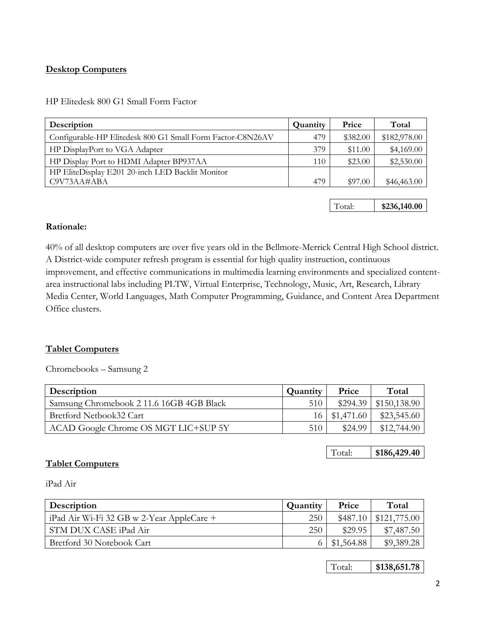## **Desktop Computers**

HP Elitedesk 800 G1 Small Form Factor

| Description                                                | Quantity | Price    | Total        |
|------------------------------------------------------------|----------|----------|--------------|
| Configurable-HP Elitedesk 800 G1 Small Form Factor-C8N26AV | 479      | \$382.00 | \$182,978.00 |
| HP DisplayPort to VGA Adapter                              | 379      | \$11.00  | \$4,169.00   |
| HP Display Port to HDMI Adapter BP937AA                    | 110      | \$23.00  | \$2,530.00   |
| HP EliteDisplay E201 20-inch LED Backlit Monitor           |          |          |              |
| C9V73AA#ABA                                                | 479      | \$97.00  | \$46,463.00  |

Total: **\$236,140.00**

#### **Rationale:**

40% of all desktop computers are over five years old in the Bellmore-Merrick Central High School district. A District-wide computer refresh program is essential for high quality instruction, continuous improvement, and effective communications in multimedia learning environments and specialized contentarea instructional labs including PLTW, Virtual Enterprise, Technology, Music, Art, Research, Library Media Center, World Languages, Math Computer Programming, Guidance, and Content Area Department Office clusters.

### **Tablet Computers**

Chromebooks – Samsung 2

| Description                              | Quantity | Price             | Total                      |
|------------------------------------------|----------|-------------------|----------------------------|
| Samsung Chromebook 2 11.6 16GB 4GB Black | 510      |                   | $$294.39 \mid $150,138.90$ |
| Bretford Netbook32 Cart                  |          | $16$   \$1,471.60 | \$23,545.60                |
| ACAD Google Chrome OS MGT LIC+SUP 5Y     | 510      | \$24.99           | \$12,744.90                |

Total: **\$186,429.40**

### **Tablet Computers**

iPad Air

| <b>Description</b>                                | Quantity   | Price      | Total        |
|---------------------------------------------------|------------|------------|--------------|
| $\vert$ iPad Air Wi-Fi 32 GB w 2-Year AppleCare + | <b>250</b> | \$487.10   | \$121,775.00 |
| STM DUX CASE iPad Air                             | 250        | \$29.95    | \$7,487.50   |
| Bretford 30 Notebook Cart                         |            | \$1,564.88 | \$9,389.28   |

Total: **\$138,651.78**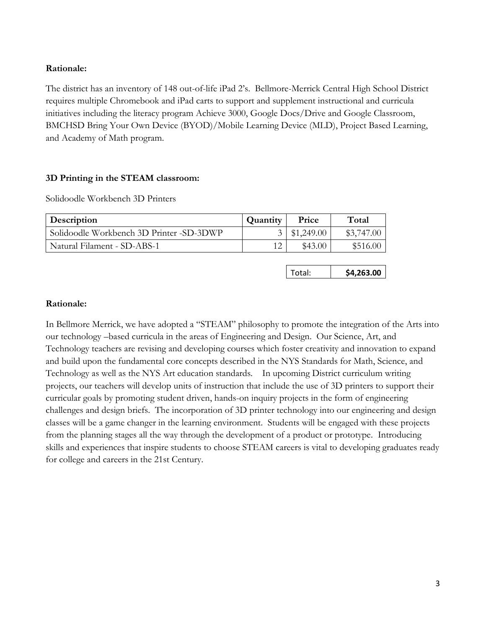## **Rationale:**

The district has an inventory of 148 out-of-life iPad 2's. Bellmore-Merrick Central High School District requires multiple Chromebook and iPad carts to support and supplement instructional and curricula initiatives including the literacy program Achieve 3000, Google Docs/Drive and Google Classroom, BMCHSD Bring Your Own Device (BYOD)/Mobile Learning Device (MLD), Project Based Learning, and Academy of Math program.

## **3D Printing in the STEAM classroom:**

Solidoodle Workbench 3D Printers

| Description                              | Quantity | Price              | Total      |
|------------------------------------------|----------|--------------------|------------|
| Solidoodle Workbench 3D Printer -SD-3DWP |          | $3 \mid $1,249.00$ | \$3,747.00 |
| Natural Filament - SD-ABS-1              |          | \$43.00            | \$516.00   |

| \$4,263.00 |
|------------|
|            |

### **Rationale:**

In Bellmore Merrick, we have adopted a "STEAM" philosophy to promote the integration of the Arts into our technology –based curricula in the areas of Engineering and Design. Our Science, Art, and Technology teachers are revising and developing courses which foster creativity and innovation to expand and build upon the fundamental core concepts described in the NYS Standards for Math, Science, and Technology as well as the NYS Art education standards. In upcoming District curriculum writing projects, our teachers will develop units of instruction that include the use of 3D printers to support their curricular goals by promoting student driven, hands-on inquiry projects in the form of engineering challenges and design briefs. The incorporation of 3D printer technology into our engineering and design classes will be a game changer in the learning environment. Students will be engaged with these projects from the planning stages all the way through the development of a product or prototype. Introducing skills and experiences that inspire students to choose STEAM careers is vital to developing graduates ready for college and careers in the 21st Century.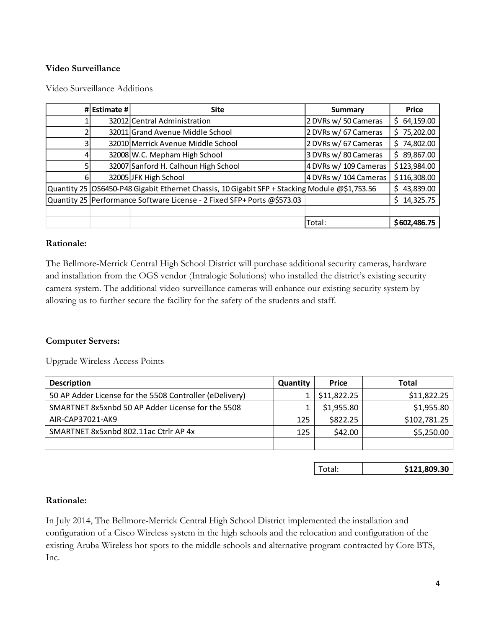## **Video Surveillance**

|    | # Estimate # | <b>Site</b>                                                                                   | Summary               | <b>Price</b>    |
|----|--------------|-----------------------------------------------------------------------------------------------|-----------------------|-----------------|
|    |              | 32012 Central Administration                                                                  | 2 DVRs w/ 50 Cameras  | 64,159.00<br>Ś. |
|    |              | 32011 Grand Avenue Middle School                                                              | 2 DVRs w/ 67 Cameras  | 75,202.00<br>Ś  |
|    |              | 32010 Merrick Avenue Middle School                                                            | 2 DVRs w/ 67 Cameras  | 74,802.00<br>Ś. |
|    |              | 32008 W.C. Mepham High School                                                                 | 3 DVRs w/80 Cameras   | 89,867.00<br>Ś. |
|    |              | 32007 Sanford H. Calhoun High School                                                          | 4 DVRs w/ 109 Cameras | \$123,984.00    |
| 61 |              | 32005 JFK High School                                                                         | 4 DVRs w/ 104 Cameras | \$116,308.00    |
|    |              | Quantity 25 OS6450-P48 Gigabit Ethernet Chassis, 10 Gigabit SFP + Stacking Module @\$1,753.56 |                       | 43,839.00<br>S. |
|    |              | Quantity 25   Performance Software License - 2 Fixed SFP+ Ports @\$573.03                     |                       | 14,325.75<br>Ś. |
|    |              |                                                                                               |                       |                 |
|    |              |                                                                                               | Total:                | \$602,486.75    |

#### **Rationale:**

The Bellmore-Merrick Central High School District will purchase additional security cameras, hardware and installation from the OGS vendor (Intralogic Solutions) who installed the district's existing security camera system. The additional video surveillance cameras will enhance our existing security system by allowing us to further secure the facility for the safety of the students and staff.

#### **Computer Servers:**

Upgrade Wireless Access Points

| <b>Description</b>                                      | Quantity | <b>Price</b> | <b>Total</b> |
|---------------------------------------------------------|----------|--------------|--------------|
| 50 AP Adder License for the 5508 Controller (eDelivery) |          | \$11,822.25  | \$11,822.25  |
| SMARTNET 8x5xnbd 50 AP Adder License for the 5508       |          | \$1,955.80   | \$1,955.80   |
| AIR-CAP37021-AK9                                        | 125      | \$822.25     | \$102,781.25 |
| SMARTNET 8x5xnbd 802.11ac Ctrlr AP 4x                   | 125      | \$42.00      | \$5,250.00   |
|                                                         |          |              |              |

Total: **\$121,809.30**

#### **Rationale:**

In July 2014, The Bellmore-Merrick Central High School District implemented the installation and configuration of a Cisco Wireless system in the high schools and the relocation and configuration of the existing Aruba Wireless hot spots to the middle schools and alternative program contracted by Core BTS, Inc.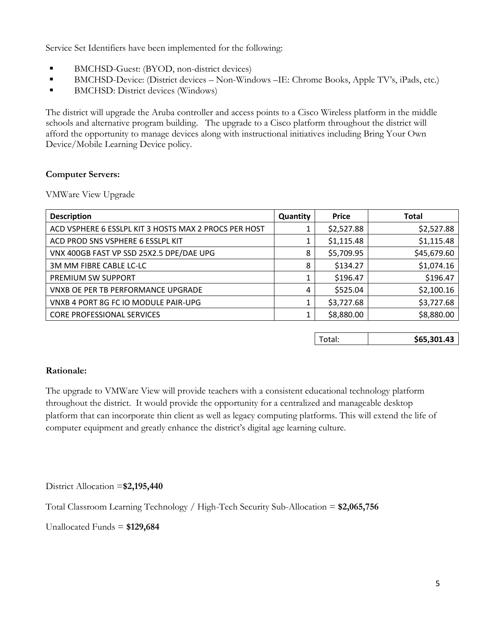Service Set Identifiers have been implemented for the following:

- BMCHSD-Guest: (BYOD, non-district devices)
- BMCHSD-Device: (District devices Non-Windows –IE: Chrome Books, Apple TV's, iPads, etc.)
- **BMCHSD:** District devices (Windows)

The district will upgrade the Aruba controller and access points to a Cisco Wireless platform in the middle schools and alternative program building. The upgrade to a Cisco platform throughout the district will afford the opportunity to manage devices along with instructional initiatives including Bring Your Own Device/Mobile Learning Device policy.

## **Computer Servers:**

VMWare View Upgrade

| <b>Description</b>                                    | Quantity | <b>Price</b> | <b>Total</b> |
|-------------------------------------------------------|----------|--------------|--------------|
| ACD VSPHERE 6 ESSLPL KIT 3 HOSTS MAX 2 PROCS PER HOST |          | \$2,527.88   | \$2,527.88   |
| ACD PROD SNS VSPHERE 6 ESSLPL KIT                     |          | \$1,115.48   | \$1,115.48   |
| VNX 400GB FAST VP SSD 25X2.5 DPE/DAE UPG              | 8        | \$5,709.95   | \$45,679.60  |
| 3M MM FIBRE CABLE LC-LC                               | 8        | \$134.27     | \$1,074.16   |
| PREMIUM SW SUPPORT                                    |          | \$196.47     | \$196.47     |
| VNXB OE PER TB PERFORMANCE UPGRADE                    | 4        | \$525.04     | \$2,100.16   |
| VNXB 4 PORT 8G FC IO MODULE PAIR-UPG                  |          | \$3,727.68   | \$3,727.68   |
| <b>CORE PROFESSIONAL SERVICES</b>                     |          | \$8,880.00   | \$8,880.00   |

Total: **\$65,301.43** 

## **Rationale:**

The upgrade to VMWare View will provide teachers with a consistent educational technology platform throughout the district. It would provide the opportunity for a centralized and manageable desktop platform that can incorporate thin client as well as legacy computing platforms. This will extend the life of computer equipment and greatly enhance the district's digital age learning culture.

District Allocation =**\$2,195,440**

Total Classroom Learning Technology / High-Tech Security Sub-Allocation = **\$2,065,756**

Unallocated Funds = **\$129,684**